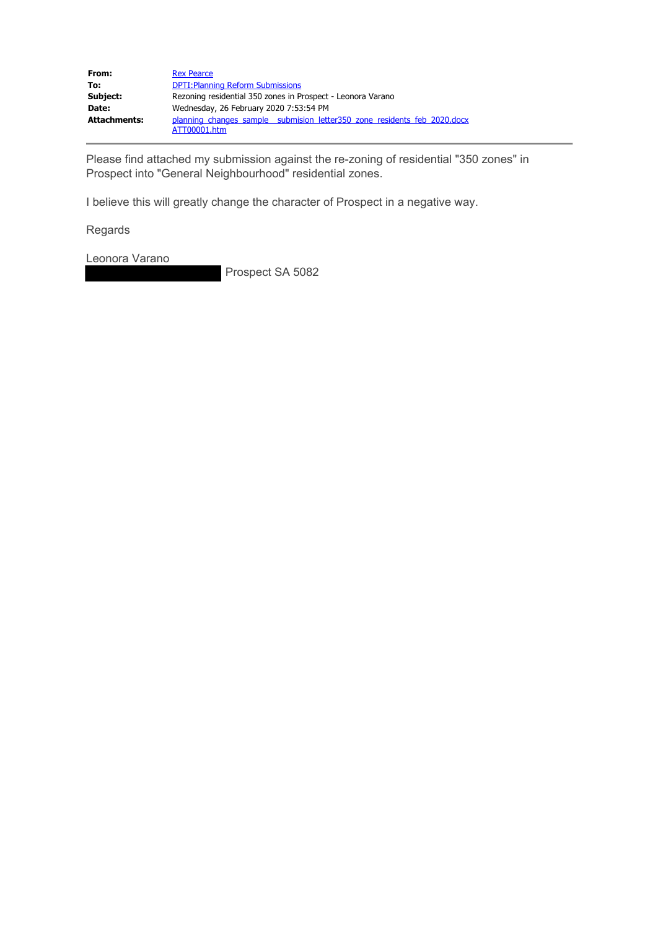| From:               | <b>Rex Pearce</b>                                                                         |
|---------------------|-------------------------------------------------------------------------------------------|
| To:                 | <b>DPTI: Planning Reform Submissions</b>                                                  |
| Subject:            | Rezoning residential 350 zones in Prospect - Leonora Varano                               |
| Date:               | Wednesday, 26 February 2020 7:53:54 PM                                                    |
| <b>Attachments:</b> | planning changes sample submision letter 350 zone residents feb 2020.docx<br>ATT00001.htm |

Please find attached my submission against the re-zoning of residential "350 zones" in Prospect into "General Neighbourhood" residential zones.

I believe this will greatly change the character of Prospect in a negative way.

Regards

Leonora Varano

Prospect SA 5082